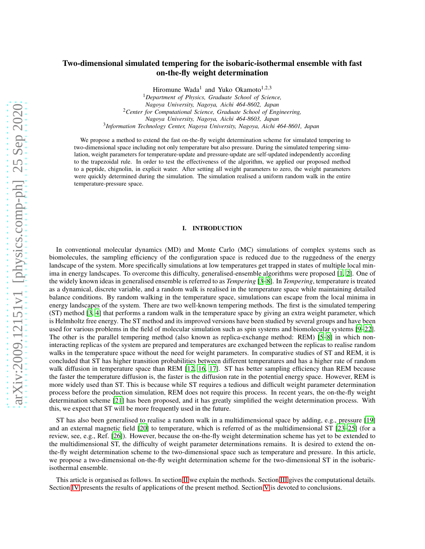# Two-dimensional simulated tempering for the isobaric-isothermal ensemble with fast on-the-fly weight determination

Hiromune Wada<sup>1</sup> and Yuko Okamoto<sup>1,2,3</sup> <sup>1</sup>*Department of Physics, Graduate School of Science, Nagoya University, Nagoya, Aichi 464-8602, Japan* <sup>2</sup>*Center for Computational Science, Graduate School of Engineering, Nagoya University, Nagoya, Aichi 464-8603, Japan*

3 *Information Technology Center, Nagoya University, Nagoya, Aichi 464-8601, Japan*

We propose a method to extend the fast on-the-fly weight determination scheme for simulated tempering to two-dimensional space including not only temperature but also pressure. During the simulated tempering simulation, weight parameters for temperature-update and pressure-update are self-updated independently according to the trapezoidal rule. In order to test the effectiveness of the algorithm, we applied our proposed method to a peptide, chignolin, in explicit water. After setting all weight parameters to zero, the weight parameters were quickly determined during the simulation. The simulation realised a uniform random walk in the entire temperature-pressure space.

# I. INTRODUCTION

In conventional molecular dynamics (MD) and Monte Carlo (MC) simulations of complex systems such as biomolecules, the sampling efficiency of the configuration space is reduced due to the ruggedness of the energy landscape of the system. More specifically simulations at low temperatures get trapped in states of multiple local minima in energy landscapes. To overcome this difficulty, generalised-ensemble algorithms were proposed [\[1](#page-9-0), [2](#page-9-1)]. One of the widely known ideas in generalised ensemble is referred to as *Tempering* [\[3](#page-9-2)[–8](#page-9-3)]. In *Tempering*, temperature is treated as a dynamical, discrete variable, and a random walk is realised in the temperature space while maintaining detailed balance conditions. By random walking in the temperature space, simulations can escape from the local minima in energy landscapes of the system. There are two well-known tempering methods. The first is the simulated tempering (ST) method [\[3,](#page-9-2) [4\]](#page-9-4) that performs a random walk in the temperature space by giving an extra weight parameter, which is Helmholtz free energy. The ST method and its improved versions have been studied by several groups and have been used for various problems in the field of molecular simulation such as spin systems and biomolecular systems [\[9](#page-9-5)[–22\]](#page-9-6). The other is the parallel tempering method (also known as replica-exchange method: REM) [\[5](#page-9-7)[–8\]](#page-9-3) in which noninteracting replicas of the system are prepared and temperatures are exchanged between the replicas to realise random walks in the temperature space without the need for weight parameters. In comparative studies of ST and REM, it is concluded that ST has higher transition probabilities between different temperatures and has a higher rate of random walk diffusion in temperature space than REM [\[12,](#page-9-8) [16,](#page-9-9) [17\]](#page-9-10). ST has better sampling efficiency than REM because the faster the temperature diffusion is, the faster is the diffusion rate in the potential energy space. However, REM is more widely used than ST. This is because while ST requires a tedious and difficult weight parameter determination process before the production simulation, REM does not require this process. In recent years, the on-the-fly weight determination scheme [\[21\]](#page-9-11) has been proposed, and it has greatly simplified the weight determination process. With this, we expect that ST will be more frequently used in the future.

ST has also been generalised to realise a random walk in a multidimensional space by adding, e.g., pressure [\[19\]](#page-9-12) and an external magnetic field [\[20\]](#page-9-13) to temperature, which is referred of as the multidimensional ST [\[23](#page-9-14)[–25\]](#page-9-15) (for a review, see, e.g., Ref. [\[26\]](#page-9-16)). However, because the on-the-fly weight determination scheme has yet to be extended to the multidimensional ST, the difficulty of weight parameter determinations remains. It is desired to extend the onthe-fly weight determination scheme to the two-dimensional space such as temperature and pressure. In this article, we propose a two-dimensional on-the-fly weight determination scheme for the two-dimensional ST in the isobaricisothermal ensemble.

This article is organised as follows. In section [II](#page-1-0) we explain the methods. Section [III](#page-4-0) gives the computational details. Section [IV](#page-5-0) presents the results of applications of the present method. Section [V](#page-7-0) is devoted to conclusions.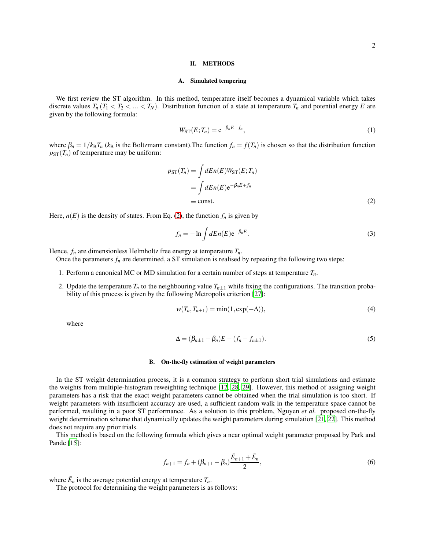## <span id="page-1-0"></span>II. METHODS

## A. Simulated tempering

We first review the ST algorithm. In this method, temperature itself becomes a dynamical variable which takes discrete values  $T_n$  ( $T_1 < T_2 < ... < T_N$ ). Distribution function of a state at temperature  $T_n$  and potential energy *E* are given by the following formula:

$$
W_{\rm ST}(E; T_n) = e^{-\beta_n E + f_n},\tag{1}
$$

where  $\beta_n = 1/k_B T_n$  ( $k_B$  is the Boltzmann constant). The function  $f_n = f(T_n)$  is chosen so that the distribution function  $p_{ST}(T_n)$  of temperature may be uniform:

$$
p_{ST}(T_n) = \int dEn(E)W_{ST}(E; T_n)
$$
  
= 
$$
\int dEn(E) e^{-\beta_n E + f_n}
$$
  
\equiv const. (2)

Here,  $n(E)$  is the density of states. From Eq. [\(2\)](#page-1-1), the function  $f_n$  is given by

<span id="page-1-1"></span>
$$
f_n = -\ln \int dE n(E) e^{-\beta_n E}.
$$
 (3)

Hence,  $f_n$  are dimensionless Helmholtz free energy at temperature  $T_n$ .

Once the parameters  $f_n$  are determined, a ST simulation is realised by repeating the following two steps:

- 1. Perform a canonical MC or MD simulation for a certain number of steps at temperature *Tn*.
- 2. Update the temperature  $T<sub>n</sub>$  to the neighbouring value  $T<sub>n</sub>_{1}$  while fixing the configurations. The transition probability of this process is given by the following Metropolis criterion [\[27\]](#page-9-17):

<span id="page-1-3"></span>
$$
w(T_n, T_{n\pm 1}) = \min(1, \exp(-\Delta)),\tag{4}
$$

where

<span id="page-1-4"></span>
$$
\Delta = (\beta_{n\pm 1} - \beta_n)E - (f_n - f_{n\pm 1}).
$$
\n<sup>(5)</sup>

#### B. On-the-fly estimation of weight parameters

In the ST weight determination process, it is a common strategy to perform short trial simulations and estimate the weights from multiple-histogram reweighting technique [\[12,](#page-9-8) [28,](#page-9-18) [29](#page-9-19)]. However, this method of assigning weight parameters has a risk that the exact weight parameters cannot be obtained when the trial simulation is too short. If weight parameters with insufficient accuracy are used, a sufficient random walk in the temperature space cannot be performed, resulting in a poor ST performance. As a solution to this problem, Nguyen *et al.* proposed on-the-fly weight determination scheme that dynamically updates the weight parameters during simulation [\[21,](#page-9-11) [22\]](#page-9-6). This method does not require any prior trials.

This method is based on the following formula which gives a near optimal weight parameter proposed by Park and Pande [\[15\]](#page-9-20):

<span id="page-1-2"></span>
$$
f_{n+1} = f_n + (\beta_{n+1} - \beta_n) \frac{\bar{E}_{n+1} + \bar{E}_n}{2},
$$
\n(6)

where  $\bar{E}_n$  is the average potential energy at temperature  $T_n$ .

The protocol for determining the weight parameters is as follows: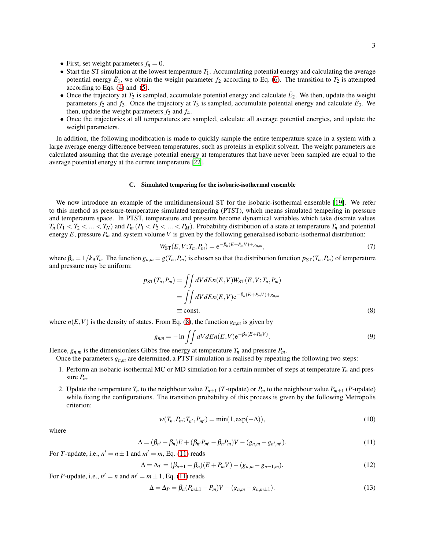- First, set weight parameters  $f_n = 0$ .
- Start the ST simulation at the lowest temperature  $T_1$ . Accumulating potential energy and calculating the average potential energy  $\bar{E}_1$ , we obtain the weight parameter  $f_2$  according to Eq. [\(6\)](#page-1-2). The transition to  $T_2$  is attempted according to Eqs. [\(4\)](#page-1-3) and [\(5\)](#page-1-4).
- Once the trajectory at  $T_2$  is sampled, accumulate potential energy and calculate  $\bar{E}_2$ . We then, update the weight parameters  $f_2$  and  $f_3$ . Once the trajectory at  $T_3$  is sampled, accumulate potential energy and calculate  $\bar{E}_3$ . We then, update the weight parameters  $f_3$  and  $f_4$ .
- Once the trajectories at all temperatures are sampled, calculate all average potential energies, and update the weight parameters.

In addition, the following modification is made to quickly sample the entire temperature space in a system with a large average energy difference between temperatures, such as proteins in explicit solvent. The weight parameters are calculated assuming that the average potential energy at temperatures that have never been sampled are equal to the average potential energy at the current temperature [\[22](#page-9-6)].

#### C. Simulated tempering for the isobaric-isothermal ensemble

We now introduce an example of the multidimensional ST for the isobaric-isothermal ensemble [\[19](#page-9-12)]. We refer to this method as pressure-temperature simulated tempering (PTST), which means simulated tempering in pressure and temperature space. In PTST, temperature and pressure become dynamical variables which take discrete values  $T_n$  ( $T_1 < T_2 < ... < T_N$ ) and  $P_m$  ( $P_1 < P_2 < ... < P_M$ ). Probability distribution of a state at temperature  $T_n$  and potential energy  $E$ , pressure  $P_m$  and system volume  $V$  is given by the following generalised isobaric-isothermal distribution:

$$
W_{\rm ST}(E, V; T_n, P_m) = e^{-\beta_n (E + P_m V) + g_{n,m}},\tag{7}
$$

where  $\beta_n = 1/k_B T_n$ . The function  $g_{n,m} = g(T_n, P_m)$  is chosen so that the distribution function  $p_{ST}(T_n, P_m)$  of temperature and pressure may be uniform:

$$
p_{ST}(T_n, P_m) = \iint dV dE n(E, V) W_{ST}(E, V; T_n, P_m)
$$
  
= 
$$
\iint dV dE n(E, V) e^{-\beta_n (E + P_m V) + g_{n,m}}
$$
  
\equiv const. (8)

where  $n(E, V)$  is the density of states. From Eq. [\(8\)](#page-2-0), the function  $g_{n,m}$  is given by

<span id="page-2-0"></span>
$$
g_{nm} = -\ln \iint dV dE n(E, V) e^{-\beta_n (E + P_m V)}.
$$
\n(9)

Hence,  $g_{n,m}$  is the dimensionless Gibbs free energy at temperature  $T_n$  and pressure  $P_m$ .

Once the parameters  $g_{n,m}$  are determined, a PTST simulation is realised by repeating the following two steps:

- 1. Perform an isobaric-isothermal MC or MD simulation for a certain number of steps at temperature *T<sup>n</sup>* and pressure *Pm*.
- 2. Update the temperature  $T_n$  to the neighbour value  $T_{n+1}$  (*T*-update) or  $P_m$  to the neighbour value  $P_{m+1}$  (*P*-update) while fixing the configurations. The transition probability of this process is given by the following Metropolis criterion:

<span id="page-2-4"></span>
$$
w(T_n, P_m; T_{n'}, P_{m'}) = \min(1, \exp(-\Delta)),
$$
\n(10)

where

<span id="page-2-1"></span>
$$
\Delta = (\beta_{n'} - \beta_n)E + (\beta_{n'}P_{m'} - \beta_nP_m)V - (g_{n,m} - g_{n',m'}).
$$
\n(11)

For *T*-update, i.e.,  $n' = n \pm 1$  and  $m' = m$ , Eq. [\(11\)](#page-2-1) reads

<span id="page-2-2"></span>
$$
\Delta = \Delta_T = (\beta_{n+1} - \beta_n)(E + P_m V) - (g_{n,m} - g_{n+1,m}).
$$
\n(12)

For *P*-update, i.e.,  $n' = n$  and  $m' = m \pm 1$ , Eq. [\(11\)](#page-2-1) reads

<span id="page-2-3"></span>
$$
\Delta = \Delta_P = \beta_n (P_{m \pm 1} - P_m) V - (g_{n,m} - g_{n,m \pm 1}).
$$
\n(13)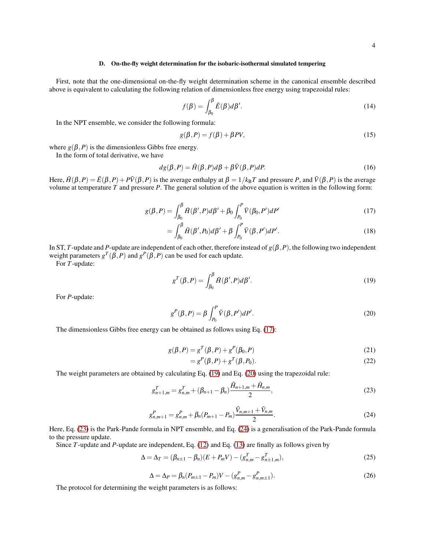## D. On-the-fly weight determination for the isobaric-isothermal simulated tempering

First, note that the one-dimensional on-the-fly weight determination scheme in the canonical ensemble described above is equivalent to calculating the following relation of dimensionless free energy using trapezoidal rules:

$$
f(\beta) = \int_{\beta_0}^{\beta} \bar{E}(\beta) d\beta'.
$$
 (14)

In the NPT ensemble, we consider the following formula:

<span id="page-3-0"></span>
$$
g(\beta, P) = f(\beta) + \beta PV,\tag{15}
$$

where  $g(\beta, P)$  is the dimensionless Gibbs free energy.

In the form of total derivative, we have

$$
dg(\beta, P) = \bar{H}(\beta, P)d\beta + \beta \bar{V}(\beta, P)dP.
$$
\n(16)

Here,  $\vec{H}(\beta, P) = \vec{E}(\beta, P) + P\vec{V}(\beta, P)$  is the average enthalpy at  $\beta = 1/k_BT$  and pressure *P*, and  $\vec{V}(\beta, P)$  is the average volume at temperature *T* and pressure *P*. The general solution of the above equation is written in the following form:

$$
g(\beta, P) = \int_{\beta_0}^{\beta} \bar{H}(\beta', P) d\beta' + \beta_0 \int_{P_0}^{P} \bar{V}(\beta_0, P') dP'
$$
 (17)

$$
=\int_{\beta_0}^{\beta} \bar{H}(\beta', P_0) d\beta' + \beta \int_{P_0}^{P} \bar{V}(\beta, P') dP'.\tag{18}
$$

In ST, *T*-update and *P*-update are independent of each other, therefore instead of  $g(\beta, P)$ , the following two independent weight parameters  $g^T(\beta, P)$  and  $g^P(\beta, P)$  can be used for each update.

For *T*-update:

<span id="page-3-1"></span>
$$
g^T(\beta, P) = \int_{\beta_0}^{\beta} \bar{H}(\beta', P) d\beta'.
$$
 (19)

For *P*-update:

$$
g^{P}(\beta, P) = \beta \int_{P_0}^{P} \bar{V}(\beta, P') dP'. \qquad (20)
$$

The dimensionless Gibbs free energy can be obtained as follows using Eq. [\(17\)](#page-3-0):

$$
g(\beta, P) = g^T(\beta, P) + g^P(\beta_0, P)
$$
\n(21)

<span id="page-3-4"></span><span id="page-3-3"></span><span id="page-3-2"></span>
$$
=g^P(\beta,P)+g^T(\beta,P_0).
$$
\n(22)

The weight parameters are obtained by calculating Eq. [\(19\)](#page-3-1) and Eq. [\(20\)](#page-3-2) using the trapezoidal rule:

$$
g_{n+1,m}^T = g_{n,m}^T + (\beta_{n+1} - \beta_n) \frac{\bar{H}_{n+1,m} + \bar{H}_{n,m}}{2},
$$
\n(23)

$$
g_{n,m+1}^P = g_{n,m}^P + \beta_n (P_{m+1} - P_m) \frac{\bar{V}_{n,m+1} + \bar{V}_{n,m}}{2}.
$$
\n(24)

Here, Eq. [\(23\)](#page-3-3) is the Park-Pande formula in NPT ensemble, and Eq. [\(24\)](#page-3-4) is a generalisation of the Park-Pande formula to the pressure update.

Since *T*-update and *P*-update are independent, Eq. [\(12\)](#page-2-2) and Eq. [\(13\)](#page-2-3) are finally as follows given by

<span id="page-3-5"></span>
$$
\Delta = \Delta_T = (\beta_{n+1} - \beta_n)(E + P_m V) - (g_{n,m}^T - g_{n+1,m}^T),
$$
\n(25)

<span id="page-3-6"></span>
$$
\Delta = \Delta_P = \beta_n (P_{m \pm 1} - P_m) V - (g_{n,m}^P - g_{n,m \pm 1}^P). \tag{26}
$$

The protocol for determining the weight parameters is as follows: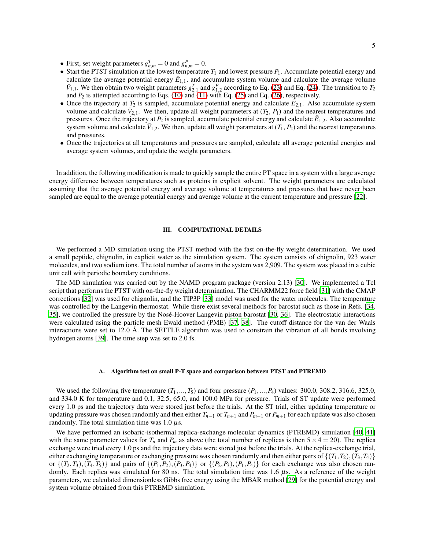- First, set weight parameters  $g_{n,m}^T = 0$  and  $g_{n,m}^P = 0$ .
- Start the PTST simulation at the lowest temperature  $T_1$  and lowest pressure  $P_1$ . Accumulate potential energy and calculate the average potential energy  $\bar{E}_{1,1}$ , and accumulate system volume and calculate the average volume  $\bar{V}_{1,1}$ . We then obtain two weight parameters  $g_{2,1}^T$  and  $g_{1,2}^P$  according to Eq. [\(23\)](#page-3-3) and Eq. [\(24\)](#page-3-4). The transition to  $T_2$ and  $P_2$  is attempted according to Eqs. [\(10\)](#page-2-4) and [\(11\)](#page-2-1) with Eq. [\(25\)](#page-3-5) and Eq. [\(26\)](#page-3-6), respectively.
- Once the trajectory at  $T_2$  is sampled, accumulate potential energy and calculate  $\vec{E}_{2,1}$ . Also accumulate system volume and calculate  $\bar{V}_{2,1}$ . We then, update all weight parameters at  $(T_2, P_1)$  and the nearest temperatures and pressures. Once the trajectory at  $P_2$  is sampled, accumulate potential energy and calculate  $\bar{E}_{1,2}$ . Also accumulate system volume and calculate  $\bar{V}_{1,2}$ . We then, update all weight parameters at  $(T_1, P_2)$  and the nearest temperatures and pressures.
- Once the trajectories at all temperatures and pressures are sampled, calculate all average potential energies and average system volumes, and update the weight parameters.

In addition, the following modification is made to quickly sample the entire PT space in a system with a large average energy difference between temperatures such as proteins in explicit solvent. The weight parameters are calculated assuming that the average potential energy and average volume at temperatures and pressures that have never been sampled are equal to the average potential energy and average volume at the current temperature and pressure [\[22](#page-9-6)].

# <span id="page-4-0"></span>III. COMPUTATIONAL DETAILS

We performed a MD simulation using the PTST method with the fast on-the-fly weight determination. We used a small peptide, chignolin, in explicit water as the simulation system. The system consists of chignolin, 923 water molecules, and two sodium ions. The total number of atoms in the system was 2,909. The system was placed in a cubic unit cell with periodic boundary conditions.

The MD simulation was carried out by the NAMD program package (version 2.13) [\[30\]](#page-9-21). We implemented a Tcl script that performs the PTST with on-the-fly weight determination. The CHARMM22 force field [\[31](#page-9-22)] with the CMAP corrections [\[32\]](#page-9-23) was used for chignolin, and the TIP3P [\[33\]](#page-9-24) model was used for the water molecules. The temperature was controlled by the Langevin thermostat. While there exist several methods for barostat such as those in Refs. [\[34,](#page-9-25) [35\]](#page-10-0), we controlled the pressure by the Nosé-Hoover Langevin piston barostat [\[30](#page-9-21), [36\]](#page-10-1). The electrostatic interactions were calculated using the particle mesh Ewald method (PME) [\[37](#page-10-2), [38](#page-10-3)]. The cutoff distance for the van der Waals interactions were set to 12.0 Å. The SETTLE algorithm was used to constrain the vibration of all bonds involving hydrogen atoms [\[39\]](#page-10-4). The time step was set to 2.0 fs.

#### A. Algorithm test on small P-T space and comparison between PTST and PTREMD

We used the following five temperature  $(T_1, ..., T_5)$  and four pressure  $(P_1, ..., P_4)$  values: 300.0, 308.2, 316.6, 325.0, and 334.0 K for temperature and 0.1, 32.5, 65.0, and 100.0 MPa for pressure. Trials of ST update were performed every 1.0 ps and the trajectory data were stored just before the trials. At the ST trial, either updating temperature or updating pressure was chosen randomly and then either  $T_{n-1}$  or  $T_{n+1}$  and  $P_{m-1}$  or  $P_{m+1}$  for each update was also chosen randomly. The total simulation time was  $1.0 \mu s$ .

We have performed an isobaric-isothermal replica-exchange molecular dynamics (PTREMD) simulation [\[40](#page-10-5), [41\]](#page-10-6) with the same parameter values for  $T_n$  and  $P_m$  as above (the total number of replicas is then  $5 \times 4 = 20$ ). The replica exchange were tried every 1.0 ps and the trajectory data were stored just before the trials. At the replica-exchange trial, either exchanging temperature or exchanging pressure was chosen randomly and then either pairs of  $\{(T_1, T_2), (T_3, T_4)\}$ or  $\{(T_2, T_3), (T_4, T_5)\}\$  and pairs of  $\{(P_1, P_2), (P_3, P_4)\}\$  or  $\{(P_2, P_3), (P_1, P_4)\}\$  for each exchange was also chosen randomly. Each replica was simulated for 80 ns. The total simulation time was 1.6  $\mu$ s. As a reference of the weight parameters, we calculated dimensionless Gibbs free energy using the MBAR method [\[29](#page-9-19)] for the potential energy and system volume obtained from this PTREMD simulation.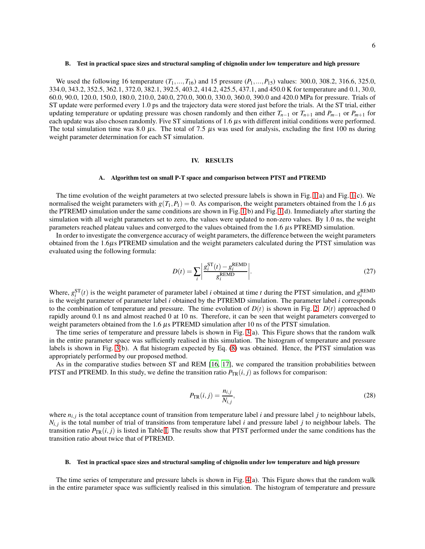## B. Test in practical space sizes and structural sampling of chignolin under low temperature and high pressure

We used the following 16 temperature  $(T_1, ..., T_{16})$  and 15 pressure  $(P_1, ..., P_{15})$  values: 300.0, 308.2, 316.6, 325.0, 334.0, 343.2, 352.5, 362.1, 372.0, 382.1, 392.5, 403.2, 414.2, 425.5, 437.1, and 450.0 K for temperature and 0.1, 30.0, 60.0, 90.0, 120.0, 150.0, 180.0, 210.0, 240.0, 270.0, 300.0, 330.0, 360.0, 390.0 and 420.0 MPa for pressure. Trials of ST update were performed every 1.0 ps and the trajectory data were stored just before the trials. At the ST trial, either updating temperature or updating pressure was chosen randomly and then either  $T_{n-1}$  or  $T_{n+1}$  and  $P_{m-1}$  or  $P_{m+1}$  for each update was also chosen randomly. Five ST simulations of  $1.6 \mu s$  with different initial conditions were performed. The total simulation time was 8.0  $\mu$ s. The total of 7.5  $\mu$ s was used for analysis, excluding the first 100 ns during weight parameter determination for each ST simulation.

# <span id="page-5-0"></span>IV. RESULTS

#### A. Algorithm test on small P-T space and comparison between PTST and PTREMD

The time evolution of the weight parameters at two selected pressure labels is shown in Fig. [1\(](#page-6-0)a) and Fig. [1\(](#page-6-0)c). We normalised the weight parameters with  $g(T_1, P_1) = 0$ . As comparison, the weight parameters obtained from the 1.6  $\mu$ s the PTREMD simulation under the same conditions are shown in Fig. [1\(](#page-6-0)b) and Fig. [1\(](#page-6-0)d). Immediately after starting the simulation with all weight parameters set to zero, the values were updated to non-zero values. By 1.0 ns, the weight parameters reached plateau values and converged to the values obtained from the  $1.6 \mu s$  PTREMD simulation.

In order to investigate the convergence accuracy of weight parameters, the difference between the weight parameters obtained from the 1.6µs PTREMD simulation and the weight parameters calculated during the PTST simulation was evaluated using the following formula:

$$
D(t) = \sum_{i} \left| \frac{g_i^{\text{ST}}(t) - g_i^{\text{REMD}}}{g_i^{\text{REMD}}} \right|.
$$
 (27)

Where,  $g_i^{\text{ST}}(t)$  is the weight parameter of parameter label *i* obtained at time *t* during the PTST simulation, and  $g_i^{\text{REMD}}$ is the weight parameter of parameter label *i* obtained by the PTREMD simulation. The parameter label *i* corresponds to the combination of temperature and pressure. The time evolution of  $D(t)$  is shown in Fig. [2.](#page-7-1)  $D(t)$  approached 0 rapidly around 0.1 ns and almost reached 0 at 10 ns. Therefore, it can be seen that weight parameters converged to weight parameters obtained from the 1.6  $\mu$ s PTREMD simulation after 10 ns of the PTST simulation.

The time series of temperature and pressure labels is shown in Fig. [3\(](#page-7-2)a). This Figure shows that the random walk in the entire parameter space was sufficiently realised in this simulation. The histogram of temperature and pressure labels is shown in Fig. [3\(](#page-7-2)b). A flat histogram expected by Eq. [\(8\)](#page-2-0) was obtained. Hence, the PTST simulation was appropriately performed by our proposed method.

As in the comparative studies between ST and REM [\[16](#page-9-9), [17](#page-9-10)], we compared the transition probabilities between PTST and PTREMD. In this study, we define the transition ratio  $P_{TR}(i, j)$  as follows for comparison:

$$
P_{\text{TR}}(i,j) = \frac{n_{i,j}}{N_{i,j}},\tag{28}
$$

where  $n_{i,j}$  is the total acceptance count of transition from temperature label *i* and pressure label *j* to neighbour labels,  $N_{i,j}$  is the total number of trial of transitions from temperature label *i* and pressure label *j* to neighbour labels. The transition ratio  $P_{TR}(i, j)$  is listed in Table [I.](#page-8-0) The results show that PTST performed under the same conditions has the transition ratio about twice that of PTREMD.

#### B. Test in practical space sizes and structural sampling of chignolin under low temperature and high pressure

The time series of temperature and pressure labels is shown in Fig. [4\(](#page-8-1)a). This Figure shows that the random walk in the entire parameter space was sufficiently realised in this simulation. The histogram of temperature and pressure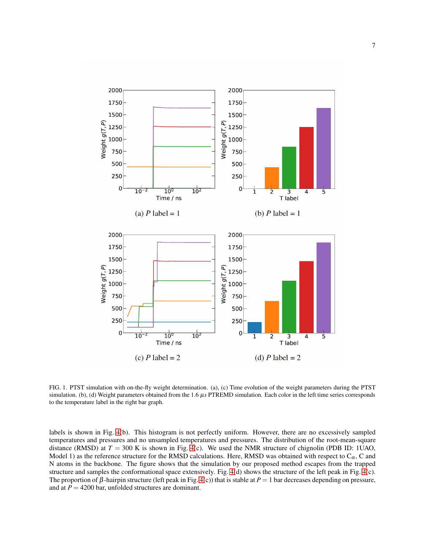

<span id="page-6-0"></span>FIG. 1. PTST simulation with on-the-fly weight determination. (a), (c) Time evolution of the weight parameters during the PTST simulation. (b), (d) Weight parameters obtained from the 1.6  $\mu s$  PTREMD simulation. Each color in the left time series corresponds to the temperature label in the right bar graph.

labels is shown in Fig. [4\(](#page-8-1)b). This histogram is not perfectly uniform. However, there are no excessively sampled temperatures and pressures and no unsampled temperatures and pressures. The distribution of the root-mean-square distance (RMSD) at  $T = 300$  K is shown in Fig. [4\(](#page-8-1)c). We used the NMR structure of chignolin (PDB ID: 1UAO, Model 1) as the reference structure for the RMSD calculations. Here, RMSD was obtained with respect to  $C_{\alpha}$ , C and N atoms in the backbone. The figure shows that the simulation by our proposed method escapes from the trapped structure and samples the conformational space extensively. Fig. [4\(](#page-8-1)d) shows the structure of the left peak in Fig. [4\(](#page-8-1)c). The proportion of  $\beta$ -hairpin structure (left peak in Fig. [4\(](#page-8-1)c)) that is stable at  $P = 1$  bar decreases depending on pressure, and at  $P = 4200$  bar, unfolded structures are dominant.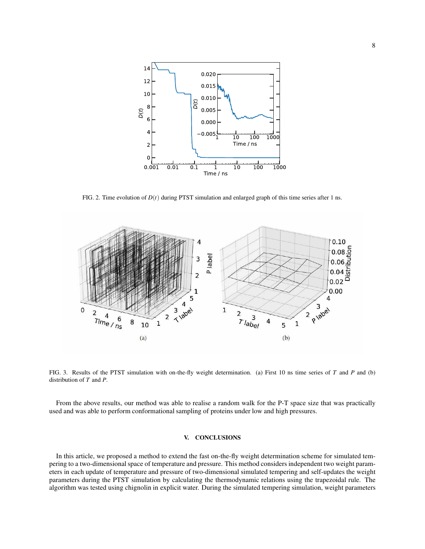

<span id="page-7-1"></span>FIG. 2. Time evolution of  $D(t)$  during PTST simulation and enlarged graph of this time series after 1 ns.



<span id="page-7-2"></span>FIG. 3. Results of the PTST simulation with on-the-fly weight determination. (a) First 10 ns time series of *T* and *P* and (b) distribution of *T* and *P*.

From the above results, our method was able to realise a random walk for the P-T space size that was practically used and was able to perform conformational sampling of proteins under low and high pressures.

# <span id="page-7-0"></span>V. CONCLUSIONS

In this article, we proposed a method to extend the fast on-the-fly weight determination scheme for simulated tempering to a two-dimensional space of temperature and pressure. This method considers independent two weight parameters in each update of temperature and pressure of two-dimensional simulated tempering and self-updates the weight parameters during the PTST simulation by calculating the thermodynamic relations using the trapezoidal rule. The algorithm was tested using chignolin in explicit water. During the simulated tempering simulation, weight parameters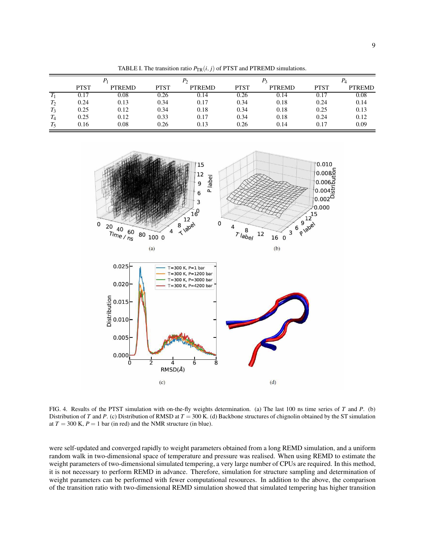| $\Gamma$ and $\Gamma$ and $\Gamma$ and $\Gamma$ and $\Gamma$ and $\Gamma$ and $\Gamma$ and $\Gamma$ and $\Gamma$ and $\Gamma$ and $\Gamma$ and $\Gamma$ |             |               |             |               |             |               |             |               |
|---------------------------------------------------------------------------------------------------------------------------------------------------------|-------------|---------------|-------------|---------------|-------------|---------------|-------------|---------------|
|                                                                                                                                                         |             |               |             |               |             |               |             |               |
|                                                                                                                                                         | <b>PTST</b> | <b>PTREMD</b> | <b>PTST</b> | <b>PTREMD</b> | <b>PTST</b> | <b>PTREMD</b> | <b>PTST</b> | <b>PTREMD</b> |
|                                                                                                                                                         | 0.17        | 0.08          | 0.26        | 0.14          | 0.26        | 0.14          | 0.17        | 0.08          |
| $T_2$                                                                                                                                                   | 0.24        | 0.13          | 0.34        | 0.17          | 0.34        | 0.18          | 0.24        | 0.14          |
| $T_3$                                                                                                                                                   | 0.25        | 0.12          | 0.34        | 0.18          | 0.34        | 0.18          | 0.25        | 0.13          |
| $T_{4}$                                                                                                                                                 | 0.25        | 0.12          | 0.33        | 0.17          | 0.34        | 0.18          | 0.24        | 0.12          |
| $T_{5}$                                                                                                                                                 | 0.16        | 0.08          | 0.26        | 0.13          | 0.26        | 0.14          | 0.17        | 0.09          |

<span id="page-8-0"></span>TABLE I. The transition ratio  $P_{TD}(i, i)$  of PTST and PTREMD simulations.



<span id="page-8-1"></span>FIG. 4. Results of the PTST simulation with on-the-fly weights determination. (a) The last 100 ns time series of *T* and *P*. (b) Distribution of *T* and *P*. (c) Distribution of RMSD at *T* = 300 K. (d) Backbone structures of chignolin obtained by the ST simulation at  $T = 300$  K,  $P = 1$  bar (in red) and the NMR structure (in blue).

were self-updated and converged rapidly to weight parameters obtained from a long REMD simulation, and a uniform random walk in two-dimensional space of temperature and pressure was realised. When using REMD to estimate the weight parameters of two-dimensional simulated tempering, a very large number of CPUs are required. In this method, it is not necessary to perform REMD in advance. Therefore, simulation for structure sampling and determination of weight parameters can be performed with fewer computational resources. In addition to the above, the comparison of the transition ratio with two-dimensional REMD simulation showed that simulated tempering has higher transition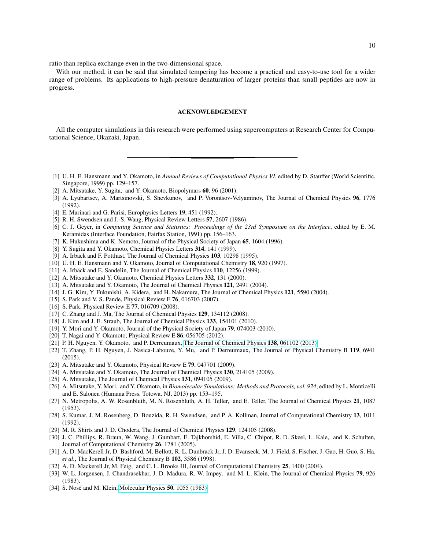ratio than replica exchange even in the two-dimensional space.

With our method, it can be said that simulated tempering has become a practical and easy-to-use tool for a wider range of problems. Its applications to high-pressure denaturation of larger proteins than small peptides are now in progress.

## ACKNOWLEDGEMENT

All the computer simulations in this research were performed using supercomputers at Research Center for Computational Science, Okazaki, Japan.

- <span id="page-9-0"></span>[1] U. H. E. Hansmann and Y. Okamoto, in *Annual Reviews of Computational Physics VI*, edited by D. Stauffer (World Scientific, Singapore, 1999) pp. 129–157.
- <span id="page-9-1"></span>[2] A. Mitsutake, Y. Sugita, and Y. Okamoto, Biopolymars 60, 96 (2001).
- <span id="page-9-2"></span>[3] A. Lyubartsev, A. Martsinovski, S. Shevkunov, and P. Vorontsov-Velyaminov, The Journal of Chemical Physics 96, 1776 (1992).
- <span id="page-9-4"></span>[4] E. Marinari and G. Parisi, Europhysics Letters 19, 451 (1992).
- <span id="page-9-7"></span>[5] R. H. Swendsen and J.-S. Wang, Physical Review Letters 57, 2607 (1986).
- [6] C. J. Geyer, in *Computing Science and Statistics: Proceedings of the 23rd Symposium on the Interface*, edited by E. M. Keramidas (Interface Foundation, Fairfax Station, 1991) pp. 156–163.
- [7] K. Hukushima and K. Nemoto, Journal of the Physical Society of Japan 65, 1604 (1996).
- <span id="page-9-3"></span>[8] Y. Sugita and Y. Okamoto, Chemical Physics Letters 314, 141 (1999).
- <span id="page-9-5"></span>[9] A. Irbäck and F. Potthast, The Journal of Chemical Physics 103, 10298 (1995).
- [10] U. H. E. Hansmann and Y. Okamoto, Journal of Computational Chemistry 18, 920 (1997).
- [11] A. Irbäck and E. Sandelin, The Journal of Chemical Physics 110, 12256 (1999).
- <span id="page-9-8"></span>[12] A. Mitsutake and Y. Okamoto, Chemical Physics Letters 332, 131 (2000).
- [13] A. Mitsutake and Y. Okamoto, The Journal of Chemical Physics 121, 2491 (2004).
- [14] J. G. Kim, Y. Fukunishi, A. Kidera, and H. Nakamura, The Journal of Chemical Physics 121, 5590 (2004).
- <span id="page-9-20"></span>[15] S. Park and V. S. Pande, Physical Review E 76, 016703 (2007).
- <span id="page-9-9"></span>[16] S. Park, Physical Review E 77, 016709 (2008).
- <span id="page-9-10"></span>[17] C. Zhang and J. Ma, The Journal of Chemical Physics 129, 134112 (2008).
- [18] J. Kim and J. E. Straub, The Journal of Chemical Physics 133, 154101 (2010).
- <span id="page-9-12"></span>[19] Y. Mori and Y. Okamoto, Journal of the Physical Society of Japan 79, 074003 (2010).
- <span id="page-9-13"></span>[20] T. Nagai and Y. Okamoto, Physical Review E 86, 056705 (2012).
- <span id="page-9-11"></span>[21] P. H. Nguyen, Y. Okamoto, and P. Derreumaux, The Journal [of Chemical Physics](http://dx.doi.org/10.1063/1.4792046) 138, 061102 (2013).
- <span id="page-9-6"></span>[22] T. Zhang, P. H. Nguyen, J. Nasica-Labouze, Y. Mu, and P. Derreumaux, The Journal of Physical Chemistry B 119, 6941 (2015).
- <span id="page-9-14"></span>[23] A. Mitsutake and Y. Okamoto, Physical Review E **79**, 047701 (2009).
- [24] A. Mitsutake and Y. Okamoto, The Journal of Chemical Physics 130, 214105 (2009).
- <span id="page-9-15"></span>[25] A. Mitsutake, The Journal of Chemical Physics 131, 094105 (2009).
- <span id="page-9-16"></span>[26] A. Mitsutake, Y. Mori, and Y. Okamoto, in *Biomolecular Simulations: Methods and Protocols, vol. 924*, edited by L. Monticelli and E. Salonen (Humana Press, Totowa, NJ, 2013) pp. 153–195.
- <span id="page-9-17"></span>[27] N. Metropolis, A. W. Rosenbluth, M. N. Rosenbluth, A. H. Teller, and E. Teller, The Journal of Chemical Physics 21, 1087 (1953).
- <span id="page-9-18"></span>[28] S. Kumar, J. M. Rosenberg, D. Bouzida, R. H. Swendsen, and P. A. Kollman, Journal of Computational Chemistry 13, 1011 (1992).
- <span id="page-9-19"></span>[29] M. R. Shirts and J. D. Chodera, The Journal of Chemical Physics 129, 124105 (2008).
- <span id="page-9-21"></span>[30] J. C. Phillips, R. Braun, W. Wang, J. Gumbart, E. Tajkhorshid, E. Villa, C. Chipot, R. D. Skeel, L. Kale, and K. Schulten, Journal of Computational Chemistry 26, 1781 (2005).
- <span id="page-9-22"></span>[31] A. D. MacKerell Jr, D. Bashford, M. Bellott, R. L. Dunbrack Jr, J. D. Evanseck, M. J. Field, S. Fischer, J. Gao, H. Guo, S. Ha, *et al.*, The Journal of Physical Chemistry B 102, 3586 (1998).
- <span id="page-9-23"></span>[32] A. D. Mackerell Jr, M. Feig, and C. L. Brooks III, Journal of Computational Chemistry 25, 1400 (2004).
- <span id="page-9-24"></span>[33] W. L. Jorgensen, J. Chandrasekhar, J. D. Madura, R. W. Impey, and M. L. Klein, The Journal of Chemical Physics 79, 926 (1983).
- <span id="page-9-25"></span>[34] S. Nosé and M. Klein, [Molecular Physics](http://dx.doi.org/10.1080/00268978300102851) **50**, 1055 (1983).